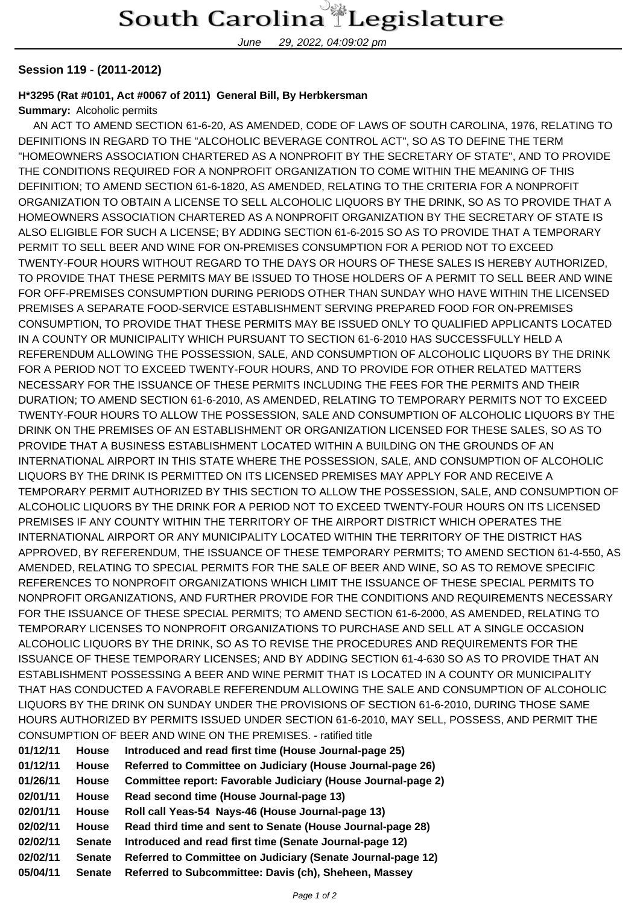June 29, 2022, 04:09:02 pm

## **Session 119 - (2011-2012)**

## **H\*3295 (Rat #0101, Act #0067 of 2011) General Bill, By Herbkersman**

## **Summary:** Alcoholic permits

 AN ACT TO AMEND SECTION 61-6-20, AS AMENDED, CODE OF LAWS OF SOUTH CAROLINA, 1976, RELATING TO DEFINITIONS IN REGARD TO THE "ALCOHOLIC BEVERAGE CONTROL ACT", SO AS TO DEFINE THE TERM "HOMEOWNERS ASSOCIATION CHARTERED AS A NONPROFIT BY THE SECRETARY OF STATE", AND TO PROVIDE THE CONDITIONS REQUIRED FOR A NONPROFIT ORGANIZATION TO COME WITHIN THE MEANING OF THIS DEFINITION; TO AMEND SECTION 61-6-1820, AS AMENDED, RELATING TO THE CRITERIA FOR A NONPROFIT ORGANIZATION TO OBTAIN A LICENSE TO SELL ALCOHOLIC LIQUORS BY THE DRINK, SO AS TO PROVIDE THAT A HOMEOWNERS ASSOCIATION CHARTERED AS A NONPROFIT ORGANIZATION BY THE SECRETARY OF STATE IS ALSO ELIGIBLE FOR SUCH A LICENSE; BY ADDING SECTION 61-6-2015 SO AS TO PROVIDE THAT A TEMPORARY PERMIT TO SELL BEER AND WINE FOR ON-PREMISES CONSUMPTION FOR A PERIOD NOT TO EXCEED TWENTY-FOUR HOURS WITHOUT REGARD TO THE DAYS OR HOURS OF THESE SALES IS HEREBY AUTHORIZED, TO PROVIDE THAT THESE PERMITS MAY BE ISSUED TO THOSE HOLDERS OF A PERMIT TO SELL BEER AND WINE FOR OFF-PREMISES CONSUMPTION DURING PERIODS OTHER THAN SUNDAY WHO HAVE WITHIN THE LICENSED PREMISES A SEPARATE FOOD-SERVICE ESTABLISHMENT SERVING PREPARED FOOD FOR ON-PREMISES CONSUMPTION, TO PROVIDE THAT THESE PERMITS MAY BE ISSUED ONLY TO QUALIFIED APPLICANTS LOCATED IN A COUNTY OR MUNICIPALITY WHICH PURSUANT TO SECTION 61-6-2010 HAS SUCCESSFULLY HELD A REFERENDUM ALLOWING THE POSSESSION, SALE, AND CONSUMPTION OF ALCOHOLIC LIQUORS BY THE DRINK FOR A PERIOD NOT TO EXCEED TWENTY-FOUR HOURS, AND TO PROVIDE FOR OTHER RELATED MATTERS NECESSARY FOR THE ISSUANCE OF THESE PERMITS INCLUDING THE FEES FOR THE PERMITS AND THEIR DURATION; TO AMEND SECTION 61-6-2010, AS AMENDED, RELATING TO TEMPORARY PERMITS NOT TO EXCEED TWENTY-FOUR HOURS TO ALLOW THE POSSESSION, SALE AND CONSUMPTION OF ALCOHOLIC LIQUORS BY THE DRINK ON THE PREMISES OF AN ESTABLISHMENT OR ORGANIZATION LICENSED FOR THESE SALES, SO AS TO PROVIDE THAT A BUSINESS ESTABLISHMENT LOCATED WITHIN A BUILDING ON THE GROUNDS OF AN INTERNATIONAL AIRPORT IN THIS STATE WHERE THE POSSESSION, SALE, AND CONSUMPTION OF ALCOHOLIC LIQUORS BY THE DRINK IS PERMITTED ON ITS LICENSED PREMISES MAY APPLY FOR AND RECEIVE A TEMPORARY PERMIT AUTHORIZED BY THIS SECTION TO ALLOW THE POSSESSION, SALE, AND CONSUMPTION OF ALCOHOLIC LIQUORS BY THE DRINK FOR A PERIOD NOT TO EXCEED TWENTY-FOUR HOURS ON ITS LICENSED PREMISES IF ANY COUNTY WITHIN THE TERRITORY OF THE AIRPORT DISTRICT WHICH OPERATES THE INTERNATIONAL AIRPORT OR ANY MUNICIPALITY LOCATED WITHIN THE TERRITORY OF THE DISTRICT HAS APPROVED, BY REFERENDUM, THE ISSUANCE OF THESE TEMPORARY PERMITS; TO AMEND SECTION 61-4-550, AS AMENDED, RELATING TO SPECIAL PERMITS FOR THE SALE OF BEER AND WINE, SO AS TO REMOVE SPECIFIC REFERENCES TO NONPROFIT ORGANIZATIONS WHICH LIMIT THE ISSUANCE OF THESE SPECIAL PERMITS TO NONPROFIT ORGANIZATIONS, AND FURTHER PROVIDE FOR THE CONDITIONS AND REQUIREMENTS NECESSARY FOR THE ISSUANCE OF THESE SPECIAL PERMITS; TO AMEND SECTION 61-6-2000, AS AMENDED, RELATING TO TEMPORARY LICENSES TO NONPROFIT ORGANIZATIONS TO PURCHASE AND SELL AT A SINGLE OCCASION ALCOHOLIC LIQUORS BY THE DRINK, SO AS TO REVISE THE PROCEDURES AND REQUIREMENTS FOR THE ISSUANCE OF THESE TEMPORARY LICENSES; AND BY ADDING SECTION 61-4-630 SO AS TO PROVIDE THAT AN ESTABLISHMENT POSSESSING A BEER AND WINE PERMIT THAT IS LOCATED IN A COUNTY OR MUNICIPALITY THAT HAS CONDUCTED A FAVORABLE REFERENDUM ALLOWING THE SALE AND CONSUMPTION OF ALCOHOLIC LIQUORS BY THE DRINK ON SUNDAY UNDER THE PROVISIONS OF SECTION 61-6-2010, DURING THOSE SAME HOURS AUTHORIZED BY PERMITS ISSUED UNDER SECTION 61-6-2010, MAY SELL, POSSESS, AND PERMIT THE CONSUMPTION OF BEER AND WINE ON THE PREMISES. - ratified title

| 01/12/11 | <b>House</b>  | Introduced and read first time (House Journal-page 25)       |
|----------|---------------|--------------------------------------------------------------|
| 01/12/11 | <b>House</b>  | Referred to Committee on Judiciary (House Journal-page 26)   |
| 01/26/11 | <b>House</b>  | Committee report: Favorable Judiciary (House Journal-page 2) |
| 02/01/11 | <b>House</b>  | Read second time (House Journal-page 13)                     |
| 02/01/11 | <b>House</b>  | Roll call Yeas-54 Nays-46 (House Journal-page 13)            |
| 02/02/11 | <b>House</b>  | Read third time and sent to Senate (House Journal-page 28)   |
| 02/02/11 | <b>Senate</b> | Introduced and read first time (Senate Journal-page 12)      |
| 02/02/11 | <b>Senate</b> | Referred to Committee on Judiciary (Senate Journal-page 12)  |
| 05/04/11 | <b>Senate</b> | Referred to Subcommittee: Davis (ch), Sheheen, Massey        |